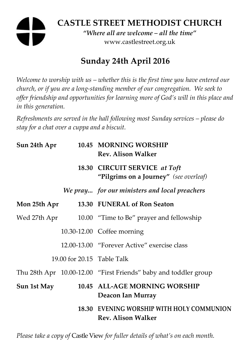# **CASTLE STREET METHODIST CHURCH**

*"Where all are welcome – all the time"*  www.castlestreet.org.uk

# **Sunday 24th April 2016**

*Welcome to worship with us – whether this is the first time you have entered our church, or if you are a long-standing member of our congregation. We seek to offer friendship and opportunities for learning more of God's will in this place and in this generation.* 

*Refreshments are served in the hall following most Sunday services – please do stay for a chat over a cuppa and a biscuit.* 

| Sun 24th Apr |                            | 10.45 MORNING WORSHIP<br><b>Rev. Alison Walker</b>                      |
|--------------|----------------------------|-------------------------------------------------------------------------|
|              |                            | 18.30 CIRCUIT SERVICE at Toft<br>"Pilgrims on a Journey" (see overleaf) |
|              |                            | We pray for our ministers and local preachers                           |
| Mon 25th Apr |                            | 13.30 FUNERAL of Ron Seaton                                             |
| Wed 27th Apr |                            | 10.00 "Time to Be" prayer and fellowship                                |
|              |                            | 10.30-12.00 Coffee morning                                              |
|              |                            | 12.00-13.00 "Forever Active" exercise class                             |
|              | 19.00 for 20.15 Table Talk |                                                                         |
|              |                            | Thu 28th Apr 10.00-12.00 "First Friends" baby and toddler group         |
| Sun 1st May  |                            | 10.45 ALL-AGE MORNING WORSHIP<br>Deacon Ian Murray                      |
|              |                            | 18.30 EVENING WORSHIP WITH HOLY COMMUNION<br><b>Rev. Alison Walker</b>  |

*Please take a copy of* Castle View *for fuller details of what's on each month.*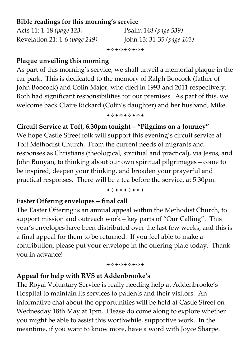#### **Bible readings for this morning's service**

Acts 11: 1-18 *(page 123)* Psalm 148 *(page 539)* Revelation 21: 1-6 *(page 249)* John 13: 31-35 *(page 103)*

+\*+\*\*\*\*+

## **Plaque unveiling this morning**

As part of this morning's service, we shall unveil a memorial plaque in the car park. This is dedicated to the memory of Ralph Boocock (father of John Boocock) and Colin Major, who died in 1993 and 2011 respectively. Both had significant responsibilities for our premises. As part of this, we welcome back Claire Rickard (Colin's daughter) and her husband, Mike.

+\*+\*\*\*\*+

# **Circuit Service at Toft, 6.30pm tonight – "Pilgrims on a Journey"**

We hope Castle Street folk will support this evening's circuit service at Toft Methodist Church. From the current needs of migrants and responses as Christians (theological, spiritual and practical), via Jesus, and John Bunyan, to thinking about our own spiritual pilgrimages – come to be inspired, deepen your thinking, and broaden your prayerful and practical responses. There will be a tea before the service, at 5.30pm.

#### +\*\*\*\*\*\*\*

## **Easter Offering envelopes – final call**

The Easter Offering is an annual appeal within the Methodist Church, to support mission and outreach work – key parts of "Our Calling". This year's envelopes have been distributed over the last few weeks, and this is a final appeal for them to be returned. If you feel able to make a contribution, please put your envelope in the offering plate today. Thank you in advance!

#### +\*\*\*\*\*\*\*

# **Appeal for help with RVS at Addenbrooke's**

The Royal Voluntary Service is really needing help at Addenbrooke's Hospital to maintain its services to patients and their visitors. An informative chat about the opportunities will be held at Castle Street on Wednesday 18th May at 1pm. Please do come along to explore whether you might be able to assist this worthwhile, supportive work. In the meantime, if you want to know more, have a word with Joyce Sharpe.